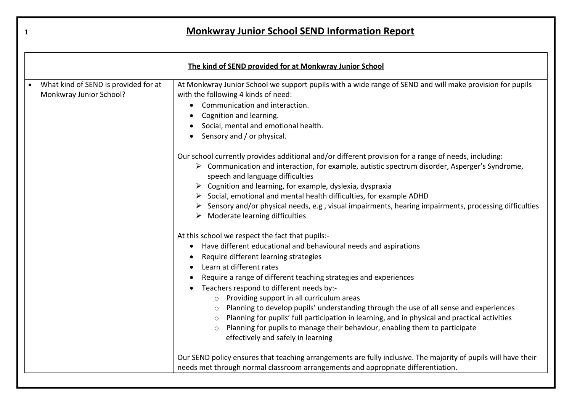| $\mathbf{1}$ | <b>Monkwray Junior School SEND Information Report</b>           |                                                                                                                                                                                                                                                                                                                                                                                                                                                                                                                                                                                                                                                                                                                                                                                                                                                                                                                                                                                                                                                                                           |
|--------------|-----------------------------------------------------------------|-------------------------------------------------------------------------------------------------------------------------------------------------------------------------------------------------------------------------------------------------------------------------------------------------------------------------------------------------------------------------------------------------------------------------------------------------------------------------------------------------------------------------------------------------------------------------------------------------------------------------------------------------------------------------------------------------------------------------------------------------------------------------------------------------------------------------------------------------------------------------------------------------------------------------------------------------------------------------------------------------------------------------------------------------------------------------------------------|
|              |                                                                 | The kind of SEND provided for at Monkwray Junior School                                                                                                                                                                                                                                                                                                                                                                                                                                                                                                                                                                                                                                                                                                                                                                                                                                                                                                                                                                                                                                   |
|              | What kind of SEND is provided for at<br>Monkwray Junior School? | At Monkwray Junior School we support pupils with a wide range of SEND and will make provision for pupils<br>with the following 4 kinds of need:<br>Communication and interaction.<br>$\bullet$<br>Cognition and learning.<br>Social, mental and emotional health.<br>Sensory and / or physical.<br>Our school currently provides additional and/or different provision for a range of needs, including:<br>$\triangleright$ Communication and interaction, for example, autistic spectrum disorder, Asperger's Syndrome,<br>speech and language difficulties<br>$\triangleright$ Cognition and learning, for example, dyslexia, dyspraxia<br>$\triangleright$ Social, emotional and mental health difficulties, for example ADHD<br>$\triangleright$ Sensory and/or physical needs, e.g., visual impairments, hearing impairments, processing difficulties<br>Moderate learning difficulties<br>At this school we respect the fact that pupils:-<br>Have different educational and behavioural needs and aspirations<br>Require different learning strategies<br>Learn at different rates |
|              |                                                                 | Require a range of different teaching strategies and experiences<br>Teachers respond to different needs by:-<br>o Providing support in all curriculum areas<br>Planning to develop pupils' understanding through the use of all sense and experiences<br>$\circ$<br>Planning for pupils' full participation in learning, and in physical and practical activities<br>$\circ$<br>Planning for pupils to manage their behaviour, enabling them to participate<br>$\circ$<br>effectively and safely in learning                                                                                                                                                                                                                                                                                                                                                                                                                                                                                                                                                                              |
|              |                                                                 | Our SEND policy ensures that teaching arrangements are fully inclusive. The majority of pupils will have their<br>needs met through normal classroom arrangements and appropriate differentiation.                                                                                                                                                                                                                                                                                                                                                                                                                                                                                                                                                                                                                                                                                                                                                                                                                                                                                        |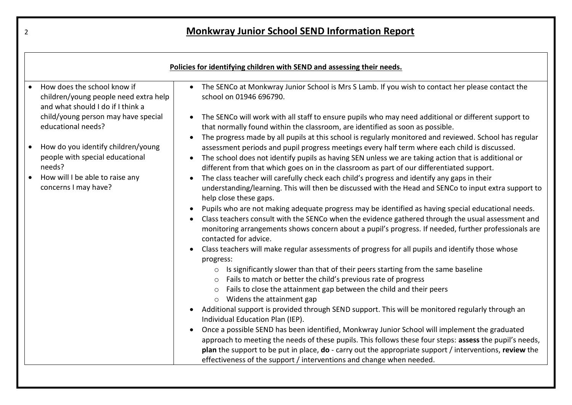| Policies for identifying children with SEND and assessing their needs.                                    |                                                                                                                                                                                                                                                                                                                                                                                                                          |  |
|-----------------------------------------------------------------------------------------------------------|--------------------------------------------------------------------------------------------------------------------------------------------------------------------------------------------------------------------------------------------------------------------------------------------------------------------------------------------------------------------------------------------------------------------------|--|
| How does the school know if<br>children/young people need extra help<br>and what should I do if I think a | • The SENCo at Monkwray Junior School is Mrs S Lamb. If you wish to contact her please contact the<br>school on 01946 696790.                                                                                                                                                                                                                                                                                            |  |
| child/young person may have special<br>educational needs?                                                 | The SENCo will work with all staff to ensure pupils who may need additional or different support to<br>that normally found within the classroom, are identified as soon as possible.                                                                                                                                                                                                                                     |  |
| How do you identify children/young<br>people with special educational<br>needs?                           | The progress made by all pupils at this school is regularly monitored and reviewed. School has regular<br>$\bullet$<br>assessment periods and pupil progress meetings every half term where each child is discussed.<br>The school does not identify pupils as having SEN unless we are taking action that is additional or<br>different from that which goes on in the classroom as part of our differentiated support. |  |
| How will I be able to raise any<br>concerns I may have?                                                   | The class teacher will carefully check each child's progress and identify any gaps in their<br>understanding/learning. This will then be discussed with the Head and SENCo to input extra support to<br>help close these gaps.                                                                                                                                                                                           |  |
|                                                                                                           | Pupils who are not making adequate progress may be identified as having special educational needs.<br>Class teachers consult with the SENCo when the evidence gathered through the usual assessment and<br>monitoring arrangements shows concern about a pupil's progress. If needed, further professionals are<br>contacted for advice.                                                                                 |  |
|                                                                                                           | Class teachers will make regular assessments of progress for all pupils and identify those whose<br>progress:                                                                                                                                                                                                                                                                                                            |  |
|                                                                                                           | Is significantly slower than that of their peers starting from the same baseline<br>$\circ$                                                                                                                                                                                                                                                                                                                              |  |
|                                                                                                           | o Fails to match or better the child's previous rate of progress<br>Fails to close the attainment gap between the child and their peers<br>$\circ$<br>Widens the attainment gap<br>$\circ$                                                                                                                                                                                                                               |  |
|                                                                                                           | Additional support is provided through SEND support. This will be monitored regularly through an<br>Individual Education Plan (IEP).                                                                                                                                                                                                                                                                                     |  |
|                                                                                                           | Once a possible SEND has been identified, Monkwray Junior School will implement the graduated<br>approach to meeting the needs of these pupils. This follows these four steps: assess the pupil's needs,<br>plan the support to be put in place, do - carry out the appropriate support / interventions, review the<br>effectiveness of the support / interventions and change when needed.                              |  |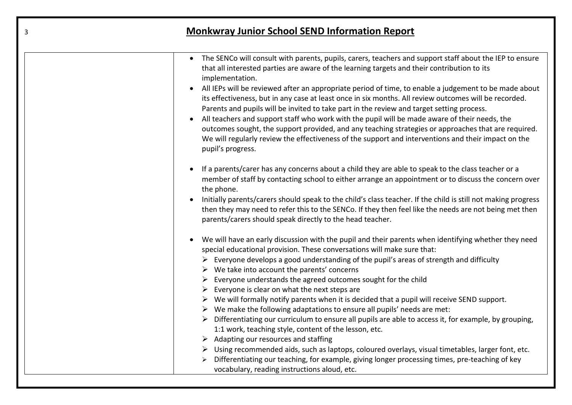| 3 | <b>Monkwray Junior School SEND Information Report</b>                                                                                                                                                                                                                                                                                                                                                                                                                                                                                                                                                                                                                                                                                                                                                                                                                                                                                                                                                                                                                                                                                                   |
|---|---------------------------------------------------------------------------------------------------------------------------------------------------------------------------------------------------------------------------------------------------------------------------------------------------------------------------------------------------------------------------------------------------------------------------------------------------------------------------------------------------------------------------------------------------------------------------------------------------------------------------------------------------------------------------------------------------------------------------------------------------------------------------------------------------------------------------------------------------------------------------------------------------------------------------------------------------------------------------------------------------------------------------------------------------------------------------------------------------------------------------------------------------------|
|   | The SENCo will consult with parents, pupils, carers, teachers and support staff about the IEP to ensure<br>$\bullet$<br>that all interested parties are aware of the learning targets and their contribution to its<br>implementation.<br>All IEPs will be reviewed after an appropriate period of time, to enable a judgement to be made about<br>its effectiveness, but in any case at least once in six months. All review outcomes will be recorded.<br>Parents and pupils will be invited to take part in the review and target setting process.<br>All teachers and support staff who work with the pupil will be made aware of their needs, the<br>outcomes sought, the support provided, and any teaching strategies or approaches that are required.<br>We will regularly review the effectiveness of the support and interventions and their impact on the<br>pupil's progress.                                                                                                                                                                                                                                                               |
|   | If a parents/carer has any concerns about a child they are able to speak to the class teacher or a<br>member of staff by contacting school to either arrange an appointment or to discuss the concern over<br>the phone.<br>Initially parents/carers should speak to the child's class teacher. If the child is still not making progress<br>then they may need to refer this to the SENCo. If they then feel like the needs are not being met then<br>parents/carers should speak directly to the head teacher.                                                                                                                                                                                                                                                                                                                                                                                                                                                                                                                                                                                                                                        |
|   | We will have an early discussion with the pupil and their parents when identifying whether they need<br>special educational provision. These conversations will make sure that:<br>Everyone develops a good understanding of the pupil's areas of strength and difficulty<br>$\triangleright$ We take into account the parents' concerns<br>Everyone understands the agreed outcomes sought for the child<br>Everyone is clear on what the next steps are<br>$\triangleright$ We will formally notify parents when it is decided that a pupil will receive SEND support.<br>$\triangleright$ We make the following adaptations to ensure all pupils' needs are met:<br>Differentiating our curriculum to ensure all pupils are able to access it, for example, by grouping,<br>1:1 work, teaching style, content of the lesson, etc.<br>$\triangleright$ Adapting our resources and staffing<br>Using recommended aids, such as laptops, coloured overlays, visual timetables, larger font, etc.<br>➤<br>Differentiating our teaching, for example, giving longer processing times, pre-teaching of key<br>vocabulary, reading instructions aloud, etc. |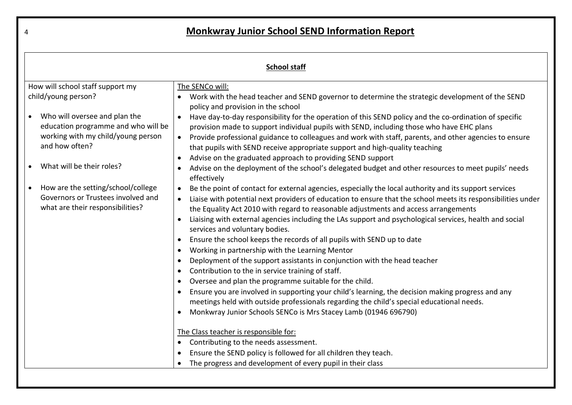| <b>School staff</b>                                                                                                                                       |                                                                                                                                                                                                                                                                                                                                                                                                                                                                                                                                                                                                                                                                                                                                                                                                                                                                                                                                                                                                                                                                                                   |
|-----------------------------------------------------------------------------------------------------------------------------------------------------------|---------------------------------------------------------------------------------------------------------------------------------------------------------------------------------------------------------------------------------------------------------------------------------------------------------------------------------------------------------------------------------------------------------------------------------------------------------------------------------------------------------------------------------------------------------------------------------------------------------------------------------------------------------------------------------------------------------------------------------------------------------------------------------------------------------------------------------------------------------------------------------------------------------------------------------------------------------------------------------------------------------------------------------------------------------------------------------------------------|
| How will school staff support my<br>The SENCo will:                                                                                                       |                                                                                                                                                                                                                                                                                                                                                                                                                                                                                                                                                                                                                                                                                                                                                                                                                                                                                                                                                                                                                                                                                                   |
| child/young person?                                                                                                                                       | Work with the head teacher and SEND governor to determine the strategic development of the SEND<br>policy and provision in the school                                                                                                                                                                                                                                                                                                                                                                                                                                                                                                                                                                                                                                                                                                                                                                                                                                                                                                                                                             |
| Who will oversee and plan the<br>education programme and who will be<br>working with my child/young person<br>and how often?<br>What will be their roles? | Have day-to-day responsibility for the operation of this SEND policy and the co-ordination of specific<br>provision made to support individual pupils with SEND, including those who have EHC plans<br>Provide professional guidance to colleagues and work with staff, parents, and other agencies to ensure<br>$\bullet$<br>that pupils with SEND receive appropriate support and high-quality teaching<br>Advise on the graduated approach to providing SEND support<br>Advise on the deployment of the school's delegated budget and other resources to meet pupils' needs                                                                                                                                                                                                                                                                                                                                                                                                                                                                                                                    |
| How are the setting/school/college<br>$\bullet$<br>Governors or Trustees involved and<br>what are their responsibilities?                                 | effectively<br>Be the point of contact for external agencies, especially the local authority and its support services<br>Liaise with potential next providers of education to ensure that the school meets its responsibilities under<br>the Equality Act 2010 with regard to reasonable adjustments and access arrangements<br>Liaising with external agencies including the LAs support and psychological services, health and social<br>services and voluntary bodies.<br>Ensure the school keeps the records of all pupils with SEND up to date<br>Working in partnership with the Learning Mentor<br>$\bullet$<br>Deployment of the support assistants in conjunction with the head teacher<br>$\bullet$<br>Contribution to the in service training of staff.<br>Oversee and plan the programme suitable for the child.<br>Ensure you are involved in supporting your child's learning, the decision making progress and any<br>meetings held with outside professionals regarding the child's special educational needs.<br>Monkwray Junior Schools SENCo is Mrs Stacey Lamb (01946 696790) |
|                                                                                                                                                           | The Class teacher is responsible for:<br>Contributing to the needs assessment.<br>Ensure the SEND policy is followed for all children they teach.<br>The progress and development of every pupil in their class                                                                                                                                                                                                                                                                                                                                                                                                                                                                                                                                                                                                                                                                                                                                                                                                                                                                                   |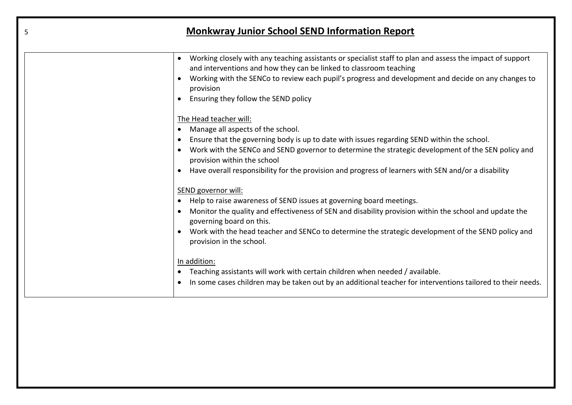| 5 | <b>Monkwray Junior School SEND Information Report</b>                                                                                                                                                                                                                                                                                                                                                 |
|---|-------------------------------------------------------------------------------------------------------------------------------------------------------------------------------------------------------------------------------------------------------------------------------------------------------------------------------------------------------------------------------------------------------|
|   | Working closely with any teaching assistants or specialist staff to plan and assess the impact of support<br>and interventions and how they can be linked to classroom teaching<br>Working with the SENCo to review each pupil's progress and development and decide on any changes to<br>provision<br>Ensuring they follow the SEND policy                                                           |
|   | The Head teacher will:<br>Manage all aspects of the school.<br>Ensure that the governing body is up to date with issues regarding SEND within the school.<br>Work with the SENCo and SEND governor to determine the strategic development of the SEN policy and<br>provision within the school<br>Have overall responsibility for the provision and progress of learners with SEN and/or a disability |
|   | SEND governor will:<br>Help to raise awareness of SEND issues at governing board meetings.<br>Monitor the quality and effectiveness of SEN and disability provision within the school and update the<br>$\bullet$<br>governing board on this.<br>Work with the head teacher and SENCo to determine the strategic development of the SEND policy and<br>provision in the school.                       |
|   | In addition:<br>Teaching assistants will work with certain children when needed / available.<br>In some cases children may be taken out by an additional teacher for interventions tailored to their needs.                                                                                                                                                                                           |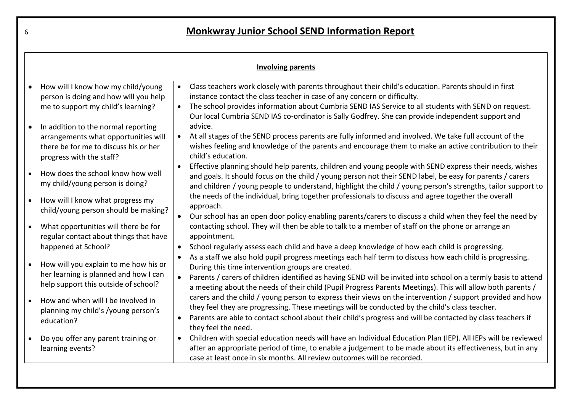|           | <b>Involving parents</b>                                                                                                                         |                                                                                                                                                                                                                                                                                                                                                                                                                         |  |
|-----------|--------------------------------------------------------------------------------------------------------------------------------------------------|-------------------------------------------------------------------------------------------------------------------------------------------------------------------------------------------------------------------------------------------------------------------------------------------------------------------------------------------------------------------------------------------------------------------------|--|
| $\bullet$ | How will I know how my child/young<br>person is doing and how will you help<br>me to support my child's learning?                                | Class teachers work closely with parents throughout their child's education. Parents should in first<br>$\bullet$<br>instance contact the class teacher in case of any concern or difficulty.<br>The school provides information about Cumbria SEND IAS Service to all students with SEND on request.<br>$\bullet$<br>Our local Cumbria SEND IAS co-ordinator is Sally Godfrey. She can provide independent support and |  |
|           | In addition to the normal reporting<br>arrangements what opportunities will<br>there be for me to discuss his or her<br>progress with the staff? | advice.<br>At all stages of the SEND process parents are fully informed and involved. We take full account of the<br>$\bullet$<br>wishes feeling and knowledge of the parents and encourage them to make an active contribution to their<br>child's education.                                                                                                                                                          |  |
|           | How does the school know how well<br>my child/young person is doing?                                                                             | Effective planning should help parents, children and young people with SEND express their needs, wishes<br>$\bullet$<br>and goals. It should focus on the child / young person not their SEND label, be easy for parents / carers<br>and children / young people to understand, highlight the child / young person's strengths, tailor support to                                                                       |  |
|           | How will I know what progress my<br>child/young person should be making?                                                                         | the needs of the individual, bring together professionals to discuss and agree together the overall<br>approach.<br>Our school has an open door policy enabling parents/carers to discuss a child when they feel the need by<br>$\bullet$                                                                                                                                                                               |  |
| $\bullet$ | What opportunities will there be for<br>regular contact about things that have<br>happened at School?                                            | contacting school. They will then be able to talk to a member of staff on the phone or arrange an<br>appointment.<br>School regularly assess each child and have a deep knowledge of how each child is progressing.                                                                                                                                                                                                     |  |
| $\bullet$ | How will you explain to me how his or<br>her learning is planned and how I can<br>help support this outside of school?                           | As a staff we also hold pupil progress meetings each half term to discuss how each child is progressing.<br>During this time intervention groups are created.<br>Parents / carers of children identified as having SEND will be invited into school on a termly basis to attend<br>a meeting about the needs of their child (Pupil Progress Parents Meetings). This will allow both parents /                           |  |
|           | How and when will I be involved in<br>planning my child's /young person's<br>education?                                                          | carers and the child / young person to express their views on the intervention / support provided and how<br>they feel they are progressing. These meetings will be conducted by the child's class teacher.<br>Parents are able to contact school about their child's progress and will be contacted by class teachers if<br>they feel the need.                                                                        |  |
| $\bullet$ | Do you offer any parent training or<br>learning events?                                                                                          | Children with special education needs will have an Individual Education Plan (IEP). All IEPs will be reviewed<br>$\bullet$<br>after an appropriate period of time, to enable a judgement to be made about its effectiveness, but in any<br>case at least once in six months. All review outcomes will be recorded.                                                                                                      |  |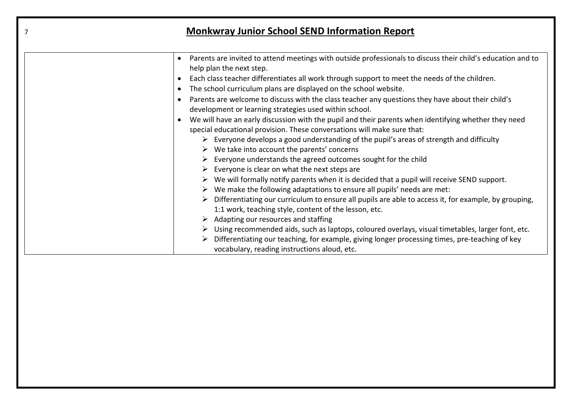| $\overline{7}$ | <b>Monkwray Junior School SEND Information Report</b>                                                                                                                                                                                                                                                                                                                                                                                                                                                                                                                                                                                                                                                                                                                                                                                                                                                                                                                                                                                                                                                                                                                                                                                                                                                                                                                                                                                                                                                                                                                                                                                                           |
|----------------|-----------------------------------------------------------------------------------------------------------------------------------------------------------------------------------------------------------------------------------------------------------------------------------------------------------------------------------------------------------------------------------------------------------------------------------------------------------------------------------------------------------------------------------------------------------------------------------------------------------------------------------------------------------------------------------------------------------------------------------------------------------------------------------------------------------------------------------------------------------------------------------------------------------------------------------------------------------------------------------------------------------------------------------------------------------------------------------------------------------------------------------------------------------------------------------------------------------------------------------------------------------------------------------------------------------------------------------------------------------------------------------------------------------------------------------------------------------------------------------------------------------------------------------------------------------------------------------------------------------------------------------------------------------------|
|                | Parents are invited to attend meetings with outside professionals to discuss their child's education and to<br>help plan the next step.<br>Each class teacher differentiates all work through support to meet the needs of the children.<br>The school curriculum plans are displayed on the school website.<br>$\bullet$<br>Parents are welcome to discuss with the class teacher any questions they have about their child's<br>development or learning strategies used within school.<br>We will have an early discussion with the pupil and their parents when identifying whether they need<br>special educational provision. These conversations will make sure that:<br>$\triangleright$ Everyone develops a good understanding of the pupil's areas of strength and difficulty<br>$\triangleright$ We take into account the parents' concerns<br>Everyone understands the agreed outcomes sought for the child<br>Everyone is clear on what the next steps are<br>$\triangleright$ We will formally notify parents when it is decided that a pupil will receive SEND support.<br>We make the following adaptations to ensure all pupils' needs are met:<br>Differentiating our curriculum to ensure all pupils are able to access it, for example, by grouping,<br>1:1 work, teaching style, content of the lesson, etc.<br>$\triangleright$ Adapting our resources and staffing<br>$\triangleright$ Using recommended aids, such as laptops, coloured overlays, visual timetables, larger font, etc.<br>Differentiating our teaching, for example, giving longer processing times, pre-teaching of key<br>vocabulary, reading instructions aloud, etc. |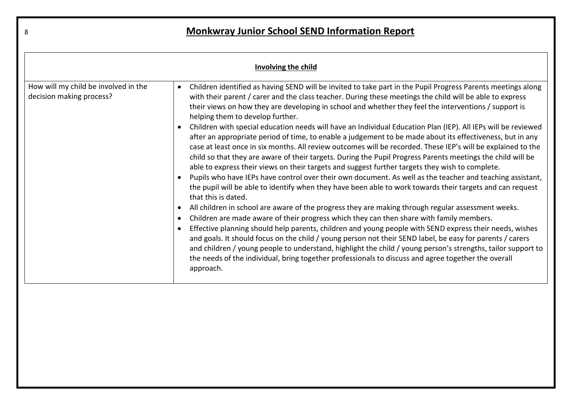| Involving the child                                              |                                                                                                                                                                                                                                                                                                                                                                                                                                                                                                                                                                                                                                                                                                                                                                                                                                                                                                                                                                                                                                                                                                                                                                                                                                                                                                                                                                                                                                                                                                                                                                                                                                                                                                                                                                                                                                                      |
|------------------------------------------------------------------|------------------------------------------------------------------------------------------------------------------------------------------------------------------------------------------------------------------------------------------------------------------------------------------------------------------------------------------------------------------------------------------------------------------------------------------------------------------------------------------------------------------------------------------------------------------------------------------------------------------------------------------------------------------------------------------------------------------------------------------------------------------------------------------------------------------------------------------------------------------------------------------------------------------------------------------------------------------------------------------------------------------------------------------------------------------------------------------------------------------------------------------------------------------------------------------------------------------------------------------------------------------------------------------------------------------------------------------------------------------------------------------------------------------------------------------------------------------------------------------------------------------------------------------------------------------------------------------------------------------------------------------------------------------------------------------------------------------------------------------------------------------------------------------------------------------------------------------------------|
| How will my child be involved in the<br>decision making process? | Children identified as having SEND will be invited to take part in the Pupil Progress Parents meetings along<br>with their parent / carer and the class teacher. During these meetings the child will be able to express<br>their views on how they are developing in school and whether they feel the interventions / support is<br>helping them to develop further.<br>Children with special education needs will have an Individual Education Plan (IEP). All IEPs will be reviewed<br>after an appropriate period of time, to enable a judgement to be made about its effectiveness, but in any<br>case at least once in six months. All review outcomes will be recorded. These IEP's will be explained to the<br>child so that they are aware of their targets. During the Pupil Progress Parents meetings the child will be<br>able to express their views on their targets and suggest further targets they wish to complete.<br>Pupils who have IEPs have control over their own document. As well as the teacher and teaching assistant,<br>the pupil will be able to identify when they have been able to work towards their targets and can request<br>that this is dated.<br>All children in school are aware of the progress they are making through regular assessment weeks.<br>Children are made aware of their progress which they can then share with family members.<br>Effective planning should help parents, children and young people with SEND express their needs, wishes<br>and goals. It should focus on the child / young person not their SEND label, be easy for parents / carers<br>and children / young people to understand, highlight the child / young person's strengths, tailor support to<br>the needs of the individual, bring together professionals to discuss and agree together the overall<br>approach. |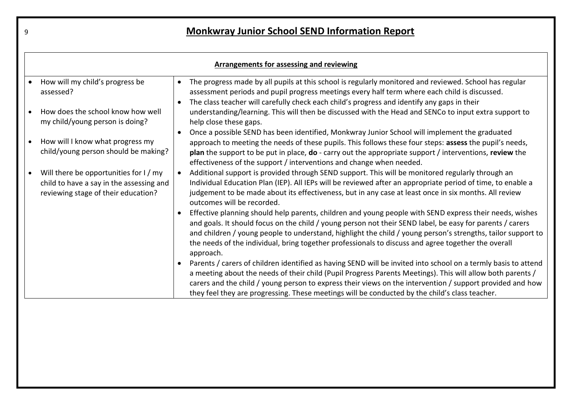| <b>Arrangements for assessing and reviewing</b>                                                                           |                                                                                                                                                                                                                                                                                                                                                                                                                                                          |  |
|---------------------------------------------------------------------------------------------------------------------------|----------------------------------------------------------------------------------------------------------------------------------------------------------------------------------------------------------------------------------------------------------------------------------------------------------------------------------------------------------------------------------------------------------------------------------------------------------|--|
| How will my child's progress be<br>assessed?                                                                              | The progress made by all pupils at this school is regularly monitored and reviewed. School has regular<br>$\bullet$<br>assessment periods and pupil progress meetings every half term where each child is discussed.                                                                                                                                                                                                                                     |  |
| How does the school know how well<br>my child/young person is doing?                                                      | The class teacher will carefully check each child's progress and identify any gaps in their<br>understanding/learning. This will then be discussed with the Head and SENCo to input extra support to<br>help close these gaps.                                                                                                                                                                                                                           |  |
| How will I know what progress my<br>child/young person should be making?                                                  | Once a possible SEND has been identified, Monkwray Junior School will implement the graduated<br>approach to meeting the needs of these pupils. This follows these four steps: assess the pupil's needs,<br>plan the support to be put in place, do - carry out the appropriate support / interventions, review the<br>effectiveness of the support / interventions and change when needed.                                                              |  |
| Will there be opportunities for I / my<br>child to have a say in the assessing and<br>reviewing stage of their education? | Additional support is provided through SEND support. This will be monitored regularly through an<br>Individual Education Plan (IEP). All IEPs will be reviewed after an appropriate period of time, to enable a<br>judgement to be made about its effectiveness, but in any case at least once in six months. All review<br>outcomes will be recorded.                                                                                                   |  |
|                                                                                                                           | Effective planning should help parents, children and young people with SEND express their needs, wishes<br>and goals. It should focus on the child / young person not their SEND label, be easy for parents / carers<br>and children / young people to understand, highlight the child / young person's strengths, tailor support to<br>the needs of the individual, bring together professionals to discuss and agree together the overall<br>approach. |  |
|                                                                                                                           | Parents / carers of children identified as having SEND will be invited into school on a termly basis to attend<br>a meeting about the needs of their child (Pupil Progress Parents Meetings). This will allow both parents /<br>carers and the child / young person to express their views on the intervention / support provided and how<br>they feel they are progressing. These meetings will be conducted by the child's class teacher.              |  |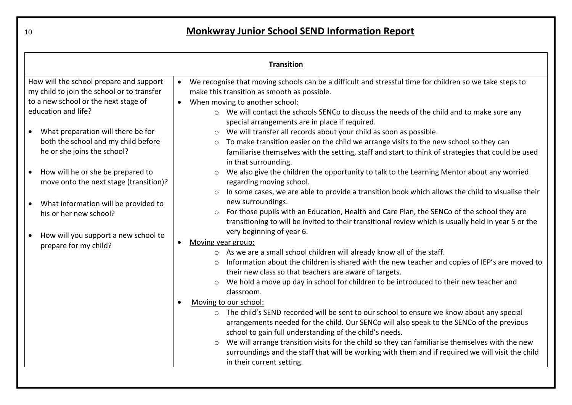| <b>Transition</b>                                                                                                                                    |                                                                                                                                                                                                                                                                                                                                                                                                                                                                                                                                                                                                                                                                                                                                                                                                                                                                                                               |
|------------------------------------------------------------------------------------------------------------------------------------------------------|---------------------------------------------------------------------------------------------------------------------------------------------------------------------------------------------------------------------------------------------------------------------------------------------------------------------------------------------------------------------------------------------------------------------------------------------------------------------------------------------------------------------------------------------------------------------------------------------------------------------------------------------------------------------------------------------------------------------------------------------------------------------------------------------------------------------------------------------------------------------------------------------------------------|
| How will the school prepare and support<br>my child to join the school or to transfer<br>to a new school or the next stage of<br>education and life? | We recognise that moving schools can be a difficult and stressful time for children so we take steps to<br>$\bullet$<br>make this transition as smooth as possible.<br>When moving to another school:<br>$\bullet$<br>o We will contact the schools SENCo to discuss the needs of the child and to make sure any<br>special arrangements are in place if required.                                                                                                                                                                                                                                                                                                                                                                                                                                                                                                                                            |
| What preparation will there be for<br>$\bullet$<br>both the school and my child before<br>he or she joins the school?                                | We will transfer all records about your child as soon as possible.<br>To make transition easier on the child we arrange visits to the new school so they can<br>$\circ$<br>familiarise themselves with the setting, staff and start to think of strategies that could be used<br>in that surrounding.                                                                                                                                                                                                                                                                                                                                                                                                                                                                                                                                                                                                         |
| • How will he or she be prepared to<br>move onto the next stage (transition)?                                                                        | We also give the children the opportunity to talk to the Learning Mentor about any worried<br>regarding moving school.                                                                                                                                                                                                                                                                                                                                                                                                                                                                                                                                                                                                                                                                                                                                                                                        |
| What information will be provided to<br>his or her new school?                                                                                       | In some cases, we are able to provide a transition book which allows the child to visualise their<br>new surroundings.<br>For those pupils with an Education, Health and Care Plan, the SENCo of the school they are<br>$\circ$<br>transitioning to will be invited to their transitional review which is usually held in year 5 or the<br>very beginning of year 6.                                                                                                                                                                                                                                                                                                                                                                                                                                                                                                                                          |
| How will you support a new school to<br>prepare for my child?                                                                                        | Moving year group:<br>$\bullet$<br>o As we are a small school children will already know all of the staff.<br>Information about the children is shared with the new teacher and copies of IEP's are moved to<br>their new class so that teachers are aware of targets.<br>We hold a move up day in school for children to be introduced to their new teacher and<br>classroom.<br>Moving to our school:<br>o The child's SEND recorded will be sent to our school to ensure we know about any special<br>arrangements needed for the child. Our SENCo will also speak to the SENCo of the previous<br>school to gain full understanding of the child's needs.<br>We will arrange transition visits for the child so they can familiarise themselves with the new<br>$\circ$<br>surroundings and the staff that will be working with them and if required we will visit the child<br>in their current setting. |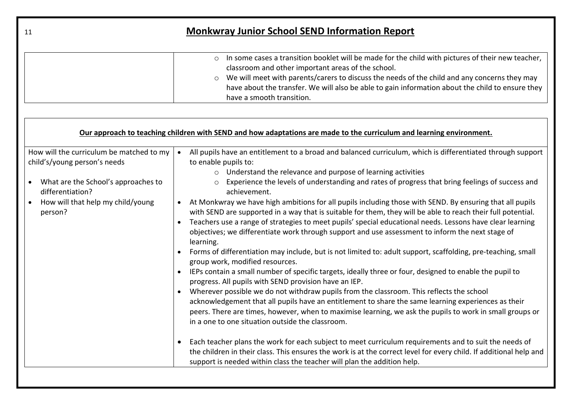| 11                                                                                                                                                                                    | <b>Monkwray Junior School SEND Information Report</b>                                                                                                                                                                                                                                                                                                                                                                                                                                                                                                                                                                                                                                                                                                                                                                                                                                                                                                                                                                                                                                                                                                                                                                                                                                                                                                                                                                                                                                                                                                                                                                                                                                                                                                                                                                                        |
|---------------------------------------------------------------------------------------------------------------------------------------------------------------------------------------|----------------------------------------------------------------------------------------------------------------------------------------------------------------------------------------------------------------------------------------------------------------------------------------------------------------------------------------------------------------------------------------------------------------------------------------------------------------------------------------------------------------------------------------------------------------------------------------------------------------------------------------------------------------------------------------------------------------------------------------------------------------------------------------------------------------------------------------------------------------------------------------------------------------------------------------------------------------------------------------------------------------------------------------------------------------------------------------------------------------------------------------------------------------------------------------------------------------------------------------------------------------------------------------------------------------------------------------------------------------------------------------------------------------------------------------------------------------------------------------------------------------------------------------------------------------------------------------------------------------------------------------------------------------------------------------------------------------------------------------------------------------------------------------------------------------------------------------------|
|                                                                                                                                                                                       | In some cases a transition booklet will be made for the child with pictures of their new teacher,<br>$\circ$<br>classroom and other important areas of the school.<br>We will meet with parents/carers to discuss the needs of the child and any concerns they may<br>$\circ$<br>have about the transfer. We will also be able to gain information about the child to ensure they<br>have a smooth transition.                                                                                                                                                                                                                                                                                                                                                                                                                                                                                                                                                                                                                                                                                                                                                                                                                                                                                                                                                                                                                                                                                                                                                                                                                                                                                                                                                                                                                               |
|                                                                                                                                                                                       | Our approach to teaching children with SEND and how adaptations are made to the curriculum and learning environment.                                                                                                                                                                                                                                                                                                                                                                                                                                                                                                                                                                                                                                                                                                                                                                                                                                                                                                                                                                                                                                                                                                                                                                                                                                                                                                                                                                                                                                                                                                                                                                                                                                                                                                                         |
| How will the curriculum be matched to my<br>child's/young person's needs<br>• What are the School's approaches to<br>differentiation?<br>How will that help my child/young<br>person? | All pupils have an entitlement to a broad and balanced curriculum, which is differentiated through support<br>$\bullet$<br>to enable pupils to:<br>o Understand the relevance and purpose of learning activities<br>o Experience the levels of understanding and rates of progress that bring feelings of success and<br>achievement.<br>At Monkwray we have high ambitions for all pupils including those with SEND. By ensuring that all pupils<br>with SEND are supported in a way that is suitable for them, they will be able to reach their full potential.<br>Teachers use a range of strategies to meet pupils' special educational needs. Lessons have clear learning<br>$\bullet$<br>objectives; we differentiate work through support and use assessment to inform the next stage of<br>learning.<br>Forms of differentiation may include, but is not limited to: adult support, scaffolding, pre-teaching, small<br>group work, modified resources.<br>• IEPs contain a small number of specific targets, ideally three or four, designed to enable the pupil to<br>progress. All pupils with SEND provision have an IEP.<br>Wherever possible we do not withdraw pupils from the classroom. This reflects the school<br>$\bullet$<br>acknowledgement that all pupils have an entitlement to share the same learning experiences as their<br>peers. There are times, however, when to maximise learning, we ask the pupils to work in small groups or<br>in a one to one situation outside the classroom.<br>Each teacher plans the work for each subject to meet curriculum requirements and to suit the needs of<br>$\bullet$<br>the children in their class. This ensures the work is at the correct level for every child. If additional help and<br>support is needed within class the teacher will plan the addition help. |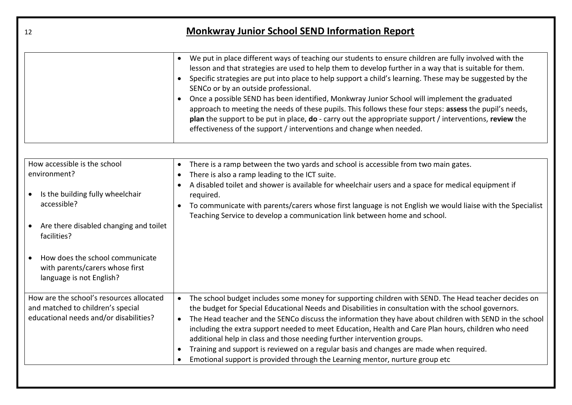| <b>Monkwray Junior School SEND Information Report</b><br>12                                                                                                                                                                                                |                                                                                                                                                                                                                                                                                                                                                                                                                                                                                                                                                                                                                                                                                                                                                                      |
|------------------------------------------------------------------------------------------------------------------------------------------------------------------------------------------------------------------------------------------------------------|----------------------------------------------------------------------------------------------------------------------------------------------------------------------------------------------------------------------------------------------------------------------------------------------------------------------------------------------------------------------------------------------------------------------------------------------------------------------------------------------------------------------------------------------------------------------------------------------------------------------------------------------------------------------------------------------------------------------------------------------------------------------|
|                                                                                                                                                                                                                                                            | We put in place different ways of teaching our students to ensure children are fully involved with the<br>lesson and that strategies are used to help them to develop further in a way that is suitable for them.<br>Specific strategies are put into place to help support a child's learning. These may be suggested by the<br>SENCo or by an outside professional.<br>Once a possible SEND has been identified, Monkwray Junior School will implement the graduated<br>approach to meeting the needs of these pupils. This follows these four steps: assess the pupil's needs,<br>plan the support to be put in place, do - carry out the appropriate support / interventions, review the<br>effectiveness of the support / interventions and change when needed. |
| How accessible is the school<br>environment?<br>Is the building fully wheelchair<br>accessible?<br>Are there disabled changing and toilet<br>facilities?<br>How does the school communicate<br>with parents/carers whose first<br>language is not English? | There is a ramp between the two yards and school is accessible from two main gates.<br>There is also a ramp leading to the ICT suite.<br>A disabled toilet and shower is available for wheelchair users and a space for medical equipment if<br>required.<br>To communicate with parents/carers whose first language is not English we would liaise with the Specialist<br>$\bullet$<br>Teaching Service to develop a communication link between home and school.                                                                                                                                                                                                                                                                                                    |
| How are the school's resources allocated<br>and matched to children's special<br>educational needs and/or disabilities?                                                                                                                                    | The school budget includes some money for supporting children with SEND. The Head teacher decides on<br>$\bullet$<br>the budget for Special Educational Needs and Disabilities in consultation with the school governors.<br>The Head teacher and the SENCo discuss the information they have about children with SEND in the school<br>$\bullet$<br>including the extra support needed to meet Education, Health and Care Plan hours, children who need<br>additional help in class and those needing further intervention groups.<br>Training and support is reviewed on a regular basis and changes are made when required.<br>Emotional support is provided through the Learning mentor, nurture group etc                                                       |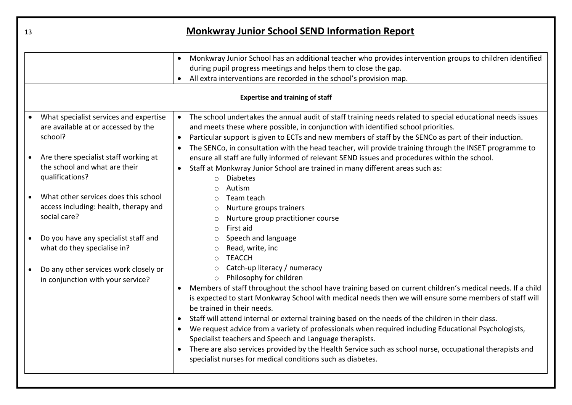| 13                                                                                                         | <b>Monkwray Junior School SEND Information Report</b>                                                                                                                                                                                                                                                                                                                                                                                                                                                                                                                                                                                                                                                                                                                                  |  |  |
|------------------------------------------------------------------------------------------------------------|----------------------------------------------------------------------------------------------------------------------------------------------------------------------------------------------------------------------------------------------------------------------------------------------------------------------------------------------------------------------------------------------------------------------------------------------------------------------------------------------------------------------------------------------------------------------------------------------------------------------------------------------------------------------------------------------------------------------------------------------------------------------------------------|--|--|
|                                                                                                            | Monkwray Junior School has an additional teacher who provides intervention groups to children identified<br>$\bullet$<br>during pupil progress meetings and helps them to close the gap.<br>All extra interventions are recorded in the school's provision map.                                                                                                                                                                                                                                                                                                                                                                                                                                                                                                                        |  |  |
| <b>Expertise and training of staff</b>                                                                     |                                                                                                                                                                                                                                                                                                                                                                                                                                                                                                                                                                                                                                                                                                                                                                                        |  |  |
| What specialist services and expertise<br>are available at or accessed by the<br>school?                   | The school undertakes the annual audit of staff training needs related to special educational needs issues<br>$\bullet$<br>and meets these where possible, in conjunction with identified school priorities.<br>Particular support is given to ECTs and new members of staff by the SENCo as part of their induction.<br>$\bullet$<br>The SENCo, in consultation with the head teacher, will provide training through the INSET programme to                                                                                                                                                                                                                                                                                                                                           |  |  |
| Are there specialist staff working at<br>the school and what are their<br>qualifications?                  | ensure all staff are fully informed of relevant SEND issues and procedures within the school.<br>Staff at Monkwray Junior School are trained in many different areas such as:<br><b>Diabetes</b><br>$\Omega$<br>Autism                                                                                                                                                                                                                                                                                                                                                                                                                                                                                                                                                                 |  |  |
| What other services does this school<br>$\bullet$<br>access including: health, therapy and<br>social care? | Team teach<br>$\circ$<br>Nurture groups trainers<br>$\circ$<br>Nurture group practitioner course<br>$\circ$<br>First aid<br>$\circ$                                                                                                                                                                                                                                                                                                                                                                                                                                                                                                                                                                                                                                                    |  |  |
| Do you have any specialist staff and<br>what do they specialise in?                                        | Speech and language<br>Read, write, inc<br>$\circ$<br><b>TEACCH</b><br>$\bigcirc$                                                                                                                                                                                                                                                                                                                                                                                                                                                                                                                                                                                                                                                                                                      |  |  |
| Do any other services work closely or<br>in conjunction with your service?                                 | Catch-up literacy / numeracy<br>$\circ$<br>Philosophy for children<br>$\circ$<br>Members of staff throughout the school have training based on current children's medical needs. If a child<br>is expected to start Monkwray School with medical needs then we will ensure some members of staff will<br>be trained in their needs.<br>Staff will attend internal or external training based on the needs of the children in their class.<br>We request advice from a variety of professionals when required including Educational Psychologists,<br>Specialist teachers and Speech and Language therapists.<br>There are also services provided by the Health Service such as school nurse, occupational therapists and<br>specialist nurses for medical conditions such as diabetes. |  |  |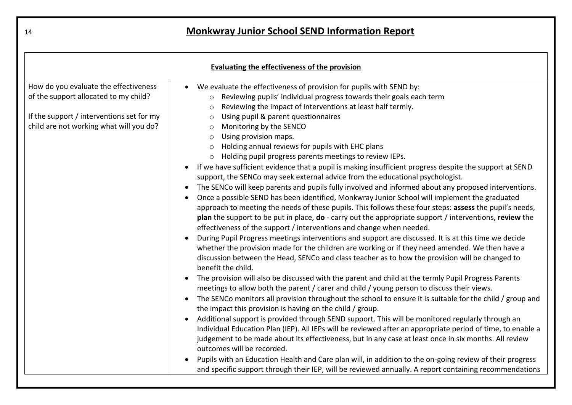| Evaluating the effectiveness of the provision |                                                                                                                                                                                                                                                                                                                                  |  |
|-----------------------------------------------|----------------------------------------------------------------------------------------------------------------------------------------------------------------------------------------------------------------------------------------------------------------------------------------------------------------------------------|--|
| How do you evaluate the effectiveness         | We evaluate the effectiveness of provision for pupils with SEND by:<br>$\bullet$                                                                                                                                                                                                                                                 |  |
| of the support allocated to my child?         | Reviewing pupils' individual progress towards their goals each term<br>$\circ$<br>Reviewing the impact of interventions at least half termly.<br>$\circ$                                                                                                                                                                         |  |
| If the support / interventions set for my     | Using pupil & parent questionnaires<br>$\circ$                                                                                                                                                                                                                                                                                   |  |
| child are not working what will you do?       | Monitoring by the SENCO<br>$\circ$                                                                                                                                                                                                                                                                                               |  |
|                                               | Using provision maps.<br>$\circ$                                                                                                                                                                                                                                                                                                 |  |
|                                               | Holding annual reviews for pupils with EHC plans<br>$\circ$                                                                                                                                                                                                                                                                      |  |
|                                               | Holding pupil progress parents meetings to review IEPs.<br>$\circ$                                                                                                                                                                                                                                                               |  |
|                                               | If we have sufficient evidence that a pupil is making insufficient progress despite the support at SEND<br>support, the SENCo may seek external advice from the educational psychologist.                                                                                                                                        |  |
|                                               | The SENCo will keep parents and pupils fully involved and informed about any proposed interventions.                                                                                                                                                                                                                             |  |
|                                               | Once a possible SEND has been identified, Monkwray Junior School will implement the graduated                                                                                                                                                                                                                                    |  |
|                                               | approach to meeting the needs of these pupils. This follows these four steps: assess the pupil's needs,<br>plan the support to be put in place, do - carry out the appropriate support / interventions, review the<br>effectiveness of the support / interventions and change when needed.                                       |  |
|                                               | During Pupil Progress meetings interventions and support are discussed. It is at this time we decide<br>whether the provision made for the children are working or if they need amended. We then have a<br>discussion between the Head, SENCo and class teacher as to how the provision will be changed to<br>benefit the child. |  |
|                                               | The provision will also be discussed with the parent and child at the termly Pupil Progress Parents<br>meetings to allow both the parent / carer and child / young person to discuss their views.                                                                                                                                |  |
|                                               | The SENCo monitors all provision throughout the school to ensure it is suitable for the child / group and<br>the impact this provision is having on the child / group.                                                                                                                                                           |  |
|                                               | Additional support is provided through SEND support. This will be monitored regularly through an<br>$\bullet$                                                                                                                                                                                                                    |  |
|                                               | Individual Education Plan (IEP). All IEPs will be reviewed after an appropriate period of time, to enable a                                                                                                                                                                                                                      |  |
|                                               | judgement to be made about its effectiveness, but in any case at least once in six months. All review<br>outcomes will be recorded.                                                                                                                                                                                              |  |
|                                               | Pupils with an Education Health and Care plan will, in addition to the on-going review of their progress<br>and specific support through their IEP, will be reviewed annually. A report containing recommendations                                                                                                               |  |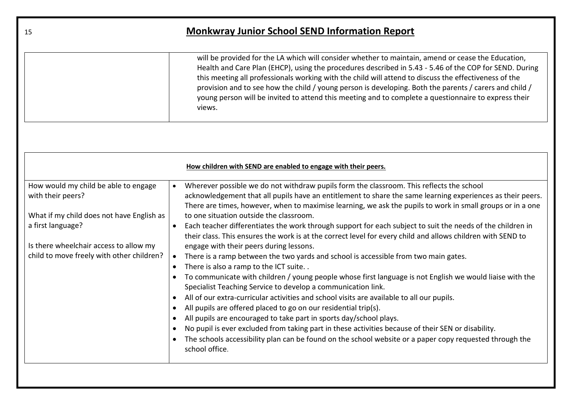| 15                                                                                                                                                                                                                 | <b>Monkwray Junior School SEND Information Report</b>                                                                                                                                                                                                                                                                                                                                                                                                                                                                                                                                                                                                                                                                                                                                                                                                                                                                                                                                                                                                                                                                                                                                                                                                                                                                                                                                                                                                                                                                                                          |
|--------------------------------------------------------------------------------------------------------------------------------------------------------------------------------------------------------------------|----------------------------------------------------------------------------------------------------------------------------------------------------------------------------------------------------------------------------------------------------------------------------------------------------------------------------------------------------------------------------------------------------------------------------------------------------------------------------------------------------------------------------------------------------------------------------------------------------------------------------------------------------------------------------------------------------------------------------------------------------------------------------------------------------------------------------------------------------------------------------------------------------------------------------------------------------------------------------------------------------------------------------------------------------------------------------------------------------------------------------------------------------------------------------------------------------------------------------------------------------------------------------------------------------------------------------------------------------------------------------------------------------------------------------------------------------------------------------------------------------------------------------------------------------------------|
|                                                                                                                                                                                                                    | will be provided for the LA which will consider whether to maintain, amend or cease the Education,<br>Health and Care Plan (EHCP), using the procedures described in 5.43 - 5.46 of the COP for SEND. During<br>this meeting all professionals working with the child will attend to discuss the effectiveness of the<br>provision and to see how the child / young person is developing. Both the parents / carers and child /<br>young person will be invited to attend this meeting and to complete a questionnaire to express their<br>views.                                                                                                                                                                                                                                                                                                                                                                                                                                                                                                                                                                                                                                                                                                                                                                                                                                                                                                                                                                                                              |
|                                                                                                                                                                                                                    | How children with SEND are enabled to engage with their peers.                                                                                                                                                                                                                                                                                                                                                                                                                                                                                                                                                                                                                                                                                                                                                                                                                                                                                                                                                                                                                                                                                                                                                                                                                                                                                                                                                                                                                                                                                                 |
| How would my child be able to engage<br>with their peers?<br>What if my child does not have English as<br>a first language?<br>Is there wheelchair access to allow my<br>child to move freely with other children? | Wherever possible we do not withdraw pupils form the classroom. This reflects the school<br>$\bullet$<br>acknowledgement that all pupils have an entitlement to share the same learning experiences as their peers.<br>There are times, however, when to maximise learning, we ask the pupils to work in small groups or in a one<br>to one situation outside the classroom.<br>Each teacher differentiates the work through support for each subject to suit the needs of the children in<br>$\bullet$<br>their class. This ensures the work is at the correct level for every child and allows children with SEND to<br>engage with their peers during lessons.<br>There is a ramp between the two yards and school is accessible from two main gates.<br>$\bullet$<br>There is also a ramp to the ICT suite<br>$\bullet$<br>To communicate with children / young people whose first language is not English we would liaise with the<br>$\bullet$<br>Specialist Teaching Service to develop a communication link.<br>All of our extra-curricular activities and school visits are available to all our pupils.<br>$\bullet$<br>All pupils are offered placed to go on our residential trip(s).<br>$\bullet$<br>All pupils are encouraged to take part in sports day/school plays.<br>$\bullet$<br>No pupil is ever excluded from taking part in these activities because of their SEN or disability.<br>$\bullet$<br>The schools accessibility plan can be found on the school website or a paper copy requested through the<br>$\bullet$<br>school office. |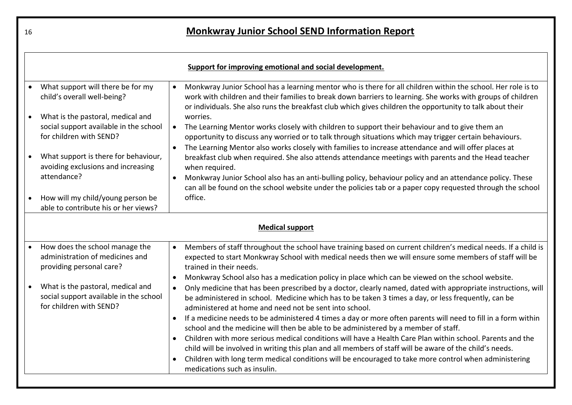| Support for improving emotional and social development.                                                |                                                                                                                                                                                                                                                                                                                                                                                                |  |
|--------------------------------------------------------------------------------------------------------|------------------------------------------------------------------------------------------------------------------------------------------------------------------------------------------------------------------------------------------------------------------------------------------------------------------------------------------------------------------------------------------------|--|
| What support will there be for my<br>child's overall well-being?                                       | Monkwray Junior School has a learning mentor who is there for all children within the school. Her role is to<br>work with children and their families to break down barriers to learning. She works with groups of children<br>or individuals. She also runs the breakfast club which gives children the opportunity to talk about their                                                       |  |
| What is the pastoral, medical and<br>social support available in the school<br>for children with SEND? | worries.<br>The Learning Mentor works closely with children to support their behaviour and to give them an<br>opportunity to discuss any worried or to talk through situations which may trigger certain behaviours.<br>The Learning Mentor also works closely with families to increase attendance and will offer places at                                                                   |  |
| What support is there for behaviour,<br>avoiding exclusions and increasing<br>attendance?              | breakfast club when required. She also attends attendance meetings with parents and the Head teacher<br>when required.<br>Monkwray Junior School also has an anti-bulling policy, behaviour policy and an attendance policy. These                                                                                                                                                             |  |
| How will my child/young person be<br>able to contribute his or her views?                              | can all be found on the school website under the policies tab or a paper copy requested through the school<br>office.                                                                                                                                                                                                                                                                          |  |
| <b>Medical support</b>                                                                                 |                                                                                                                                                                                                                                                                                                                                                                                                |  |
| How does the school manage the<br>administration of medicines and<br>providing personal care?          | Members of staff throughout the school have training based on current children's medical needs. If a child is<br>$\bullet$<br>expected to start Monkwray School with medical needs then we will ensure some members of staff will be<br>trained in their needs.                                                                                                                                |  |
| What is the pastoral, medical and<br>social support available in the school<br>for children with SEND? | Monkwray School also has a medication policy in place which can be viewed on the school website.<br>$\bullet$<br>Only medicine that has been prescribed by a doctor, clearly named, dated with appropriate instructions, will<br>be administered in school. Medicine which has to be taken 3 times a day, or less frequently, can be<br>administered at home and need not be sent into school. |  |
|                                                                                                        | If a medicine needs to be administered 4 times a day or more often parents will need to fill in a form within<br>school and the medicine will then be able to be administered by a member of staff.<br>Children with more serious medical conditions will have a Health Care Plan within school. Parents and the<br>$\bullet$                                                                  |  |
|                                                                                                        | child will be involved in writing this plan and all members of staff will be aware of the child's needs.<br>Children with long term medical conditions will be encouraged to take more control when administering<br>medications such as insulin.                                                                                                                                              |  |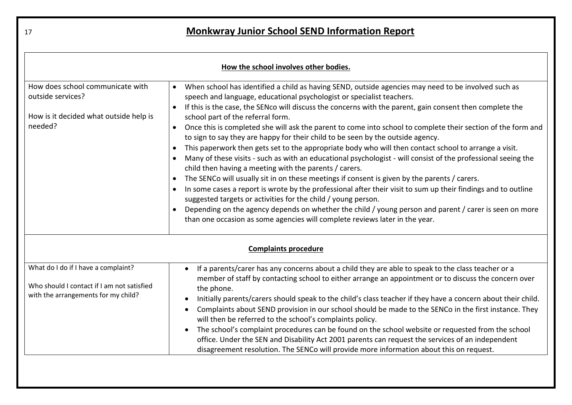| How the school involves other bodies.                                                                                    |                                                                                                                                                                                                                                                                                                                                                                                                                                                                                                                                                                                                                                                                                                                                                                                                                                                                                                                                                                                                                                                                                                                                                                                                                                                                                                                                                     |  |  |  |
|--------------------------------------------------------------------------------------------------------------------------|-----------------------------------------------------------------------------------------------------------------------------------------------------------------------------------------------------------------------------------------------------------------------------------------------------------------------------------------------------------------------------------------------------------------------------------------------------------------------------------------------------------------------------------------------------------------------------------------------------------------------------------------------------------------------------------------------------------------------------------------------------------------------------------------------------------------------------------------------------------------------------------------------------------------------------------------------------------------------------------------------------------------------------------------------------------------------------------------------------------------------------------------------------------------------------------------------------------------------------------------------------------------------------------------------------------------------------------------------------|--|--|--|
| How does school communicate with<br>outside services?<br>How is it decided what outside help is<br>needed?               | When school has identified a child as having SEND, outside agencies may need to be involved such as<br>$\bullet$<br>speech and language, educational psychologist or specialist teachers.<br>If this is the case, the SENco will discuss the concerns with the parent, gain consent then complete the<br>$\bullet$<br>school part of the referral form.<br>Once this is completed she will ask the parent to come into school to complete their section of the form and<br>to sign to say they are happy for their child to be seen by the outside agency.<br>This paperwork then gets set to the appropriate body who will then contact school to arrange a visit.<br>Many of these visits - such as with an educational psychologist - will consist of the professional seeing the<br>$\bullet$<br>child then having a meeting with the parents / carers.<br>The SENCo will usually sit in on these meetings if consent is given by the parents / carers.<br>$\bullet$<br>In some cases a report is wrote by the professional after their visit to sum up their findings and to outline<br>suggested targets or activities for the child / young person.<br>Depending on the agency depends on whether the child / young person and parent / carer is seen on more<br>than one occasion as some agencies will complete reviews later in the year. |  |  |  |
| <b>Complaints procedure</b>                                                                                              |                                                                                                                                                                                                                                                                                                                                                                                                                                                                                                                                                                                                                                                                                                                                                                                                                                                                                                                                                                                                                                                                                                                                                                                                                                                                                                                                                     |  |  |  |
| What do I do if I have a complaint?<br>Who should I contact if I am not satisfied<br>with the arrangements for my child? | If a parents/carer has any concerns about a child they are able to speak to the class teacher or a<br>member of staff by contacting school to either arrange an appointment or to discuss the concern over<br>the phone.<br>Initially parents/carers should speak to the child's class teacher if they have a concern about their child.<br>Complaints about SEND provision in our school should be made to the SENCo in the first instance. They<br>will then be referred to the school's complaints policy.<br>The school's complaint procedures can be found on the school website or requested from the school<br>$\bullet$<br>office. Under the SEN and Disability Act 2001 parents can request the services of an independent<br>disagreement resolution. The SENCo will provide more information about this on request.                                                                                                                                                                                                                                                                                                                                                                                                                                                                                                                      |  |  |  |